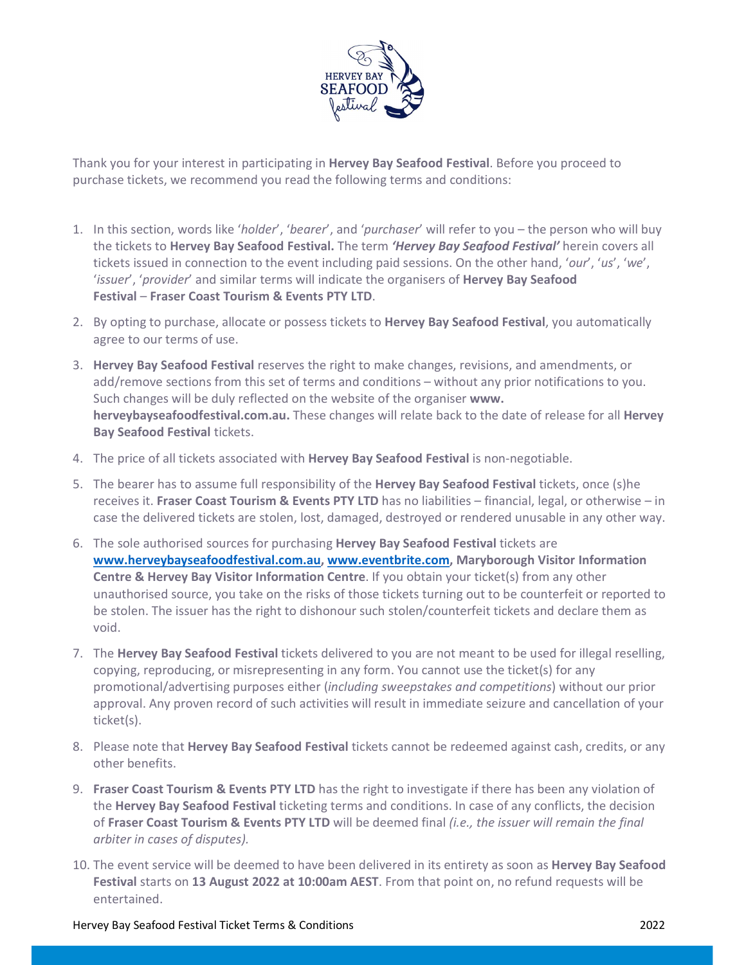

Thank you for your interest in participating in Hervey Bay Seafood Festival. Before you proceed to purchase tickets, we recommend you read the following terms and conditions:

- 1. In this section, words like 'holder', 'bearer', and 'purchaser' will refer to you the person who will buy the tickets to Hervey Bay Seafood Festival. The term 'Hervey Bay Seafood Festival' herein covers all tickets issued in connection to the event including paid sessions. On the other hand, 'our', 'us', 'we', 'issuer', 'provider' and similar terms will indicate the organisers of **Hervey Bay Seafood** Festival – Fraser Coast Tourism & Events PTY LTD.<br>2. By opting to purchase, allocate or possess tickets to Hervey Bay Seafood Festival, you automatically
- agree to our terms of use.
- 3. Hervey Bay Seafood Festival reserves the right to make changes, revisions, and amendments, or add/remove sections from this set of terms and conditions – without any prior notifications to you. Such changes will be duly reflected on the website of the organiser www. herveybayseafoodfestival.com.au. These changes will relate back to the date of release for all Hervey Bay Seafood Festival tickets.
- 4. The price of all tickets associated with **Hervey Bay Seafood Festival** is non-negotiable.
- 5. The bearer has to assume full responsibility of the Hervey Bay Seafood Festival tickets, once (s)he receives it. Fraser Coast Tourism & Events PTY LTD has no liabilities – financial, legal, or otherwise – in case the delivered tickets are stolen, lost, damaged, destroyed or rendered unusable in any other way.
- 6. The sole authorised sources for purchasing Hervey Bay Seafood Festival tickets are www.herveybayseafoodfestival.com.au, www.eventbrite.com, Maryborough Visitor Information Centre & Hervey Bay Visitor Information Centre. If you obtain your ticket(s) from any other unauthorised source, you take on the risks of those tickets turning out to be counterfeit or reported to be stolen. The issuer has the right to dishonour such stolen/counterfeit tickets and declare them as void.
- 7. The Hervey Bay Seafood Festival tickets delivered to you are not meant to be used for illegal reselling, copying, reproducing, or misrepresenting in any form. You cannot use the ticket(s) for any promotional/advertising purposes either (including sweepstakes and competitions) without our prior approval. Any proven record of such activities will result in immediate seizure and cancellation of your ticket(s).
- 8. Please note that **Hervey Bay Seafood Festival** tickets cannot be redeemed against cash, credits, or any other benefits.
- 9. Fraser Coast Tourism & Events PTY LTD has the right to investigate if there has been any violation of the Hervey Bay Seafood Festival ticketing terms and conditions. In case of any conflicts, the decision of Fraser Coast Tourism & Events PTY LTD will be deemed final (i.e., the issuer will remain the final arbiter in cases of disputes).
- 10. The event service will be deemed to have been delivered in its entirety as soon as **Hervey Bay Seafood** Festival starts on 13 August 2022 at 10:00am AEST. From that point on, no refund requests will be entertained.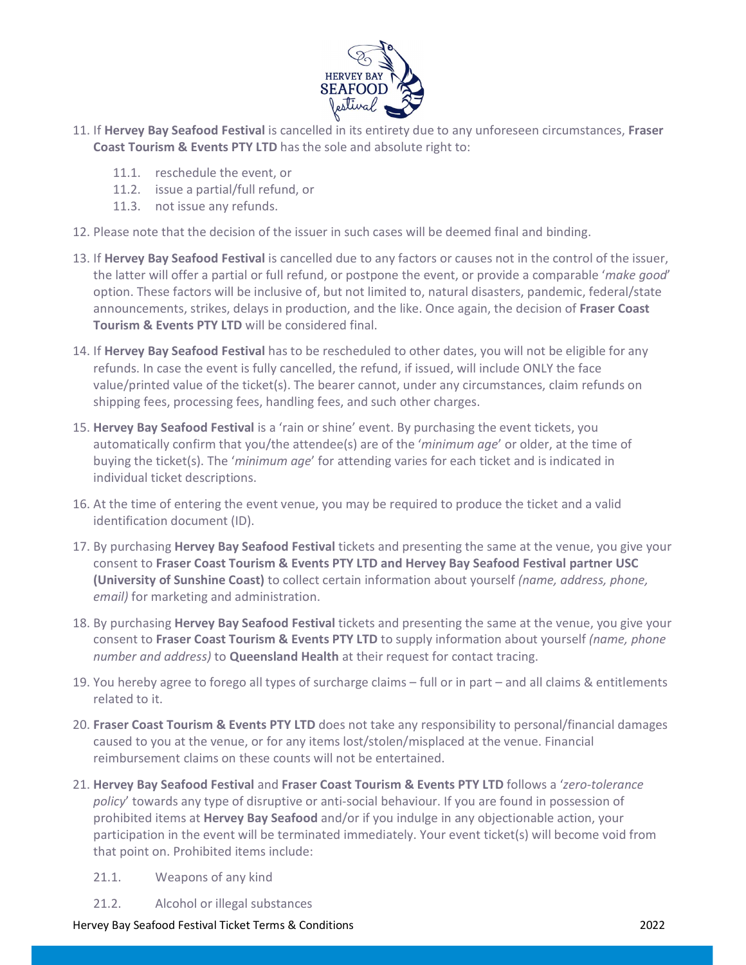

- 11. If Hervey Bay Seafood Festival is cancelled in its entirety due to any unforeseen circumstances, Fraser Coast Tourism & Events PTY LTD has the sole and absolute right to:
	- 11.1. reschedule the event, or
	- 11.2. issue a partial/full refund, or
	- 11.3. not issue any refunds.
- 12. Please note that the decision of the issuer in such cases will be deemed final and binding.
- 13. If Hervey Bay Seafood Festival is cancelled due to any factors or causes not in the control of the issuer, the latter will offer a partial or full refund, or postpone the event, or provide a comparable 'make good' option. These factors will be inclusive of, but not limited to, natural disasters, pandemic, federal/state announcements, strikes, delays in production, and the like. Once again, the decision of Fraser Coast Tourism & Events PTY LTD will be considered final.
- 14. If Hervey Bay Seafood Festival has to be rescheduled to other dates, you will not be eligible for any refunds. In case the event is fully cancelled, the refund, if issued, will include ONLY the face value/printed value of the ticket(s). The bearer cannot, under any circumstances, claim refunds on shipping fees, processing fees, handling fees, and such other charges.
- 15. Hervey Bay Seafood Festival is a 'rain or shine' event. By purchasing the event tickets, you automatically confirm that you/the attendee(s) are of the 'minimum age' or older, at the time of buying the ticket(s). The 'minimum age' for attending varies for each ticket and is indicated in individual ticket descriptions.
- 16. At the time of entering the event venue, you may be required to produce the ticket and a valid identification document (ID).
- 17. By purchasing **Hervey Bay Seafood Festival** tickets and presenting the same at the venue, you give your consent to Fraser Coast Tourism & Events PTY LTD and Hervey Bay Seafood Festival partner USC (University of Sunshine Coast) to collect certain information about yourself (name, address, phone, email) for marketing and administration.
- 18. By purchasing Hervey Bay Seafood Festival tickets and presenting the same at the venue, you give your consent to Fraser Coast Tourism & Events PTY LTD to supply information about yourself (name, phone number and address) to Queensland Health at their request for contact tracing.
- 19. You hereby agree to forego all types of surcharge claims full or in part and all claims & entitlements related to it.
- 20. Fraser Coast Tourism & Events PTY LTD does not take any responsibility to personal/financial damages caused to you at the venue, or for any items lost/stolen/misplaced at the venue. Financial reimbursement claims on these counts will not be entertained.
- 21. Hervey Bay Seafood Festival and Fraser Coast Tourism & Events PTY LTD follows a 'zero-tolerance policy' towards any type of disruptive or anti-social behaviour. If you are found in possession of prohibited items at Hervey Bay Seafood and/or if you indulge in any objectionable action, your participation in the event will be terminated immediately. Your event ticket(s) will become void from that point on. Prohibited items include:
	- 21.1. Weapons of any kind
	- 21.2. Alcohol or illegal substances

Hervey Bay Seafood Festival Ticket Terms & Conditions 2022